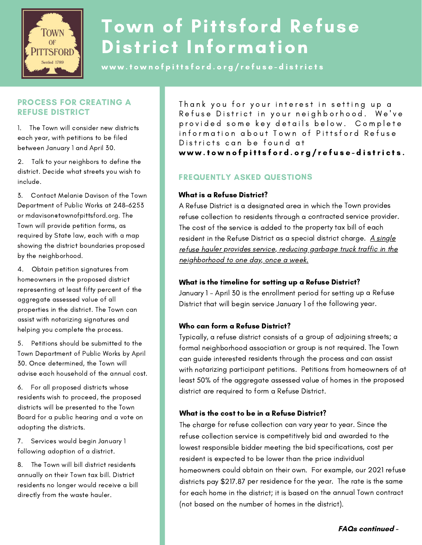

# Town of Pittsford Refuse District Information

www.townofpittsford.org/refuse-districts

## PROCESS FOR CREATING A REFUSE DISTRICT

1. The Town will consider new districts each year, with petitions to be filed between January 1 and April 30.

2. Talk to your neighbors to define the district. Decide what streets you wish to include.

3. Contact Melanie Davison of the Town Department of Public Works at 248-6253 or mdavison@townofpittsford.org. The Town will provide petition forms, as required by State law, each with a map showing the district boundaries proposed by the neighborhood.

4. Obtain petition signatures from homeowners in the proposed district representing at least fifty percent of the aggregate assessed value of all properties in the district. The Town can assist with notarizing signatures and helping you complete the process.

5. Petitions should be submitted to the Town Department of Public Works by April 30. Once determined, the Town will advise each household of the annual cost.

6. For all proposed districts whose residents wish to proceed, the proposed districts will be presented to the Town Board for a public hearing and a vote on adopting the districts.

7. Services would begin January 1 following adoption of a district.

8. The Town will bill district residents annually on their Town tax bill. District residents no longer would receive a bill directly from the waste hauler.

Thank you for your interest in setting up a Refuse District in your neighborhood. We've provided some key details below. Complete information about Town of Pittsford Refuse Districts can be found at www.townofpittsford.org/refuse-districts.

# FREQUENTLY ASKED QUESTIONS

## What is <sup>a</sup> Refuse District?

A Refuse District is <sup>a</sup> designated area in which the Town provides refuse collection to residents through <sup>a</sup> contracted service provider. The cost of the service is added to the property tax bill of each resident in the Refuse District as a special district charge. A single refuse hauler provides service, reducing garbage truck traffic in the neighborhood to one day, once <sup>a</sup> week.

## What is the timeline for setting up <sup>a</sup> Refuse District?

January <sup>1</sup> - April <sup>30</sup> is the enrollment period for setting up <sup>a</sup> Refuse District that will begin service January <sup>1</sup> of the following year.

## Who can form <sup>a</sup> Refuse District?

Typically, <sup>a</sup> refuse district consists of <sup>a</sup> group of adjoining streets; <sup>a</sup> formal neighborhood association or group is not required. The Town can guide interested residents through the process and can assist with notarizing participant petitions. Petitions from homeowners of at least 50% of the aggregate assessed value of homes in the proposed district are required to form <sup>a</sup> Refuse District.

## What is the cost to be in <sup>a</sup> Refuse District?

The charge for refuse collection can vary year to year. Since the refuse collection service is competitively bid and awarded to the lowest responsible bidder meeting the bid specifications, cost per resident is expected to be lower than the price individual homeowners could obtain on their own. For example, our <sup>2021</sup> refuse districts pay \$217.87 per residence for the year. The rate is the same for each home in the district; it is based on the annual Town contract (not based on the number of homes in the district).